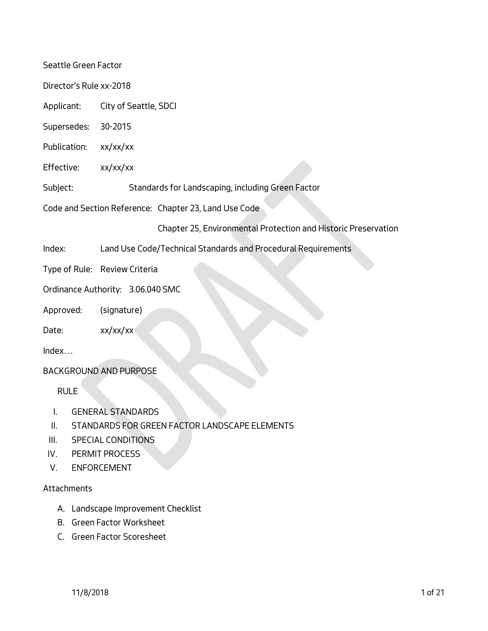Seattle Green Factor

Director's Rule xx-2018

Applicant: City of Seattle, SDCI

Supersedes: 30-2015

- Publication: xx/xx/xx
- Effective: xx/xx/xx

Subject: Standards for Landscaping, including Green Factor

Code and Section Reference: Chapter 23, Land Use Code

Chapter 25, Environmental Protection and Historic Preservation

Index: Land Use Code/Technical Standards and Procedural Requirements

Type of Rule: Review Criteria

Ordinance Authority: 3.06.040 SMC

Approved: (signature)

Date: xx/xx/xx

Index…

## BACKGROUND AND PURPOSE

RULE

- I. GENERAL STANDARDS
- II. STANDARDS FOR GREEN FACTOR LANDSCAPE ELEMENTS
- III. SPECIAL CONDITIONS
- IV. PERMIT PROCESS
- V. ENFORCEMENT

#### Attachments

- A. Landscape Improvement Checklist
- B. Green Factor Worksheet
- C. Green Factor Scoresheet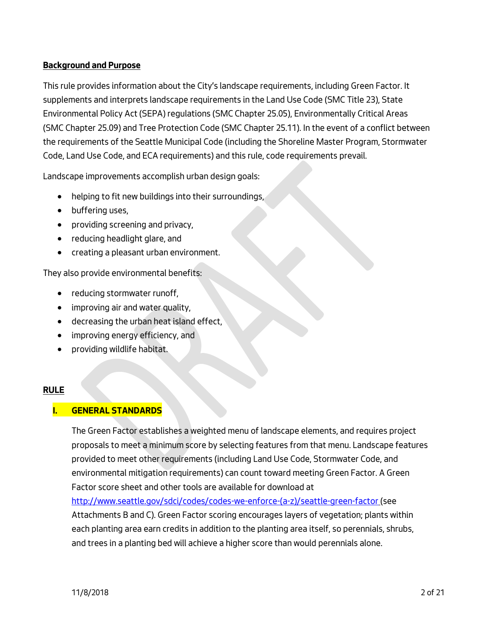## **Background and Purpose**

This rule provides information about the City's landscape requirements, including Green Factor. It supplements and interprets landscape requirements in the Land Use Code (SMC Title 23), State Environmental Policy Act (SEPA) regulations (SMC Chapter 25.05), Environmentally Critical Areas (SMC Chapter 25.09) and Tree Protection Code (SMC Chapter 25.11). In the event of a conflict between the requirements of the Seattle Municipal Code (including the Shoreline Master Program, Stormwater Code, Land Use Code, and ECA requirements) and this rule, code requirements prevail.

Landscape improvements accomplish urban design goals:

- helping to fit new buildings into their surroundings,
- buffering uses,
- providing screening and privacy,
- reducing headlight glare, and
- creating a pleasant urban environment.

They also provide environmental benefits:

- reducing stormwater runoff,
- improving air and water quality,
- decreasing the urban heat island effect,
- improving energy efficiency, and
- providing wildlife habitat.

## **RULE**

## **I. GENERAL STANDARDS**

The Green Factor establishes a weighted menu of landscape elements, and requires project proposals to meet a minimum score by selecting features from that menu. Landscape features provided to meet other requirements (including Land Use Code, Stormwater Code, and environmental mitigation requirements) can count toward meeting Green Factor. A Green Factor score sheet and other tools are available for download a[t](http://www.seattle.gov/dpd/greenfactor)  [http://www.seattle.gov/sdci/codes/codes-we-enforce-\(a-z\)/seattle-green-factor](http://www.seattle.gov/dpd/greenfactor) (see Attachments B and C). Green Factor scoring encourages layers of vegetation; plants within each planting area earn credits in addition to the planting area itself, so perennials, shrubs, and trees in a planting bed will achieve a higher score than would perennials alone.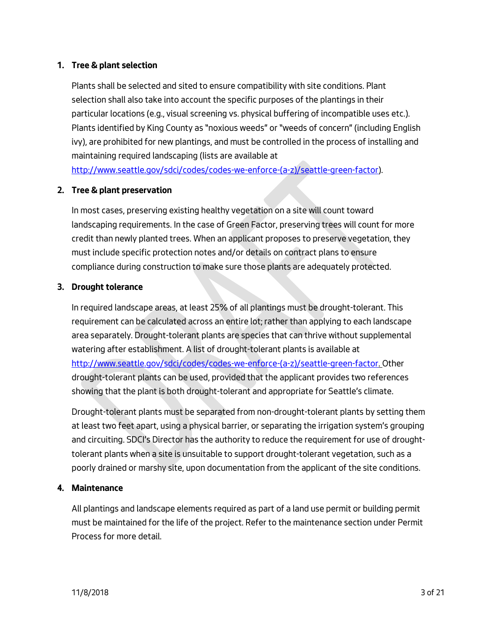## **1. Tree & plant selection**

Plants shall be selected and sited to ensure compatibility with site conditions. Plant selection shall also take into account the specific purposes of the plantings in their particular locations (e.g., visual screening vs. physical buffering of incompatible uses etc.). Plants identified by King County as "noxious weeds" or "weeds of concern" (including English ivy), are prohibited for new plantings, and must be controlled in the process of installing and maintaining required landscaping (lists are available at

http://www.seattle.gov/sdci/codes/codes-we-enforce-(a-z)/seattle-green-factor).

# **2. Tree & plant preservation**

In most cases, preserving existing healthy vegetation on a site will count toward landscaping requirements. In the case of Green Factor, preserving trees will count for more credit than newly planted trees. When an applicant proposes to preserve vegetation, they must include specific protection notes and/or details on contract plans to ensure compliance during construction to make sure those plants are adequately protected.

## **3. Drought tolerance**

In required landscape areas, at least 25% of all plantings must be drought-tolerant. This requirement can be calculated across an entire lot; rather than applying to each landscape area separately. Drought-tolerant plants are species that can thrive without supplemental watering after establishment. A list of drought-tolerant plants is available at [http://www.seattle.gov/sdci/codes/codes-we-enforce-\(a-z\)/seattle-green-factor. O](http://www.seattle.gov/dpd/greenfactor)ther drought-tolerant plants can be used, provided that the applicant provides two references showing that the plant is both drought-tolerant and appropriate for Seattle's climate.

Drought-tolerant plants must be separated from non-drought-tolerant plants by setting them at least two feet apart, using a physical barrier, or separating the irrigation system's grouping and circuiting. SDCI's Director has the authority to reduce the requirement for use of droughttolerant plants when a site is unsuitable to support drought-tolerant vegetation, such as a poorly drained or marshy site, upon documentation from the applicant of the site conditions.

## **4. Maintenance**

All plantings and landscape elements required as part of a land use permit or building permit must be maintained for the life of the project. Refer to the maintenance section under Permit Process for more detail.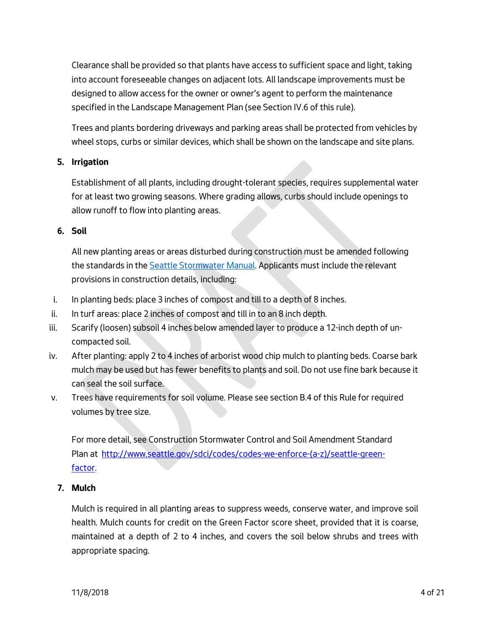Clearance shall be provided so that plants have access to sufficient space and light, taking into account foreseeable changes on adjacent lots. All landscape improvements must be designed to allow access for the owner or owner's agent to perform the maintenance specified in the Landscape Management Plan (see Section IV.6 of this rule).

Trees and plants bordering driveways and parking areas shall be protected from vehicles by wheel stops, curbs or similar devices, which shall be shown on the landscape and site plans.

## **5. Irrigation**

Establishment of all plants, including drought-tolerant species, requires supplemental water for at least two growing seasons. Where grading allows, curbs should include openings to allow runoff to flow into planting areas.

#### **6. Soil**

All new planting areas or areas disturbed during construction must be amended following the standards in th[e Seattle Stormwater Manual.](http://www.seattle.gov/dpd/cs/groups/pan/@pan/documents/web_informational/p3495552.pdf) Applicants must include the relevant provisions in construction details, including:

- i. In planting beds: place 3 inches of compost and till to a depth of 8 inches.
- ii. In turf areas: place 2 inches of compost and till in to an 8 inch depth.
- iii. Scarify (loosen) subsoil 4 inches below amended layer to produce a 12-inch depth of uncompacted soil.
- iv. After planting: apply 2 to 4 inches of arborist wood chip mulch to planting beds. Coarse bark mulch may be used but has fewer benefits to plants and soil. Do not use fine bark because it can seal the soil surface.
- v. Trees have requirements for soil volume. Please see section B.4 of this Rule for required volumes by tree size.

For more detail, see Construction Stormwater Control and Soil Amendment Standard Plan at [http://www.seattle.gov/sdci/codes/codes-we-enforce-\(a-z\)/seattle-green](http://www.seattle.gov/dpd/greenfactor)[factor.](http://www.seattle.gov/dpd/greenfactor)

## **7. Mulch**

Mulch is required in all planting areas to suppress weeds, conserve water, and improve soil health. Mulch counts for credit on the Green Factor score sheet, provided that it is coarse, maintained at a depth of 2 to 4 inches, and covers the soil below shrubs and trees with appropriate spacing.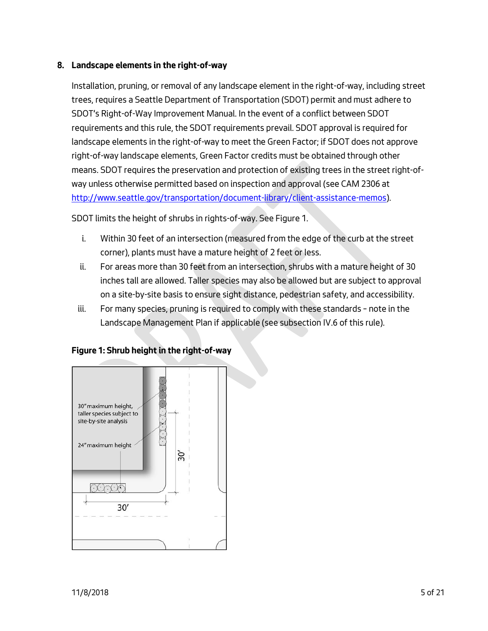## **8. Landscape elements in the right-of-way**

Installation, pruning, or removal of any landscape element in the right-of-way, including street trees, requires a Seattle Department of Transportation (SDOT) permit and must adhere to SDOT's Right-of-Way Improvement Manual. In the event of a conflict between SDOT requirements and this rule, the SDOT requirements prevail. SDOT approval is required for landscape elements in the right-of-way to meet the Green Factor; if SDOT does not approve right-of-way landscape elements, Green Factor credits must be obtained through other means. SDOT requires the preservation and protection of existing trees in the street right-ofway unless otherwise permitted based on inspection and approval (see CAM 2306 at http://www.seattle.gov/transportation/document-library/client-assistance-memos).

SDOT limits the height of shrubs in rights-of-way. See Figure 1.

- i. Within 30 feet of an intersection (measured from the edge of the curb at the street corner), plants must have a mature height of 2 feet or less.
- ii. For areas more than 30 feet from an intersection, shrubs with a mature height of 30 inches tall are allowed. Taller species may also be allowed but are subject to approval on a site-by-site basis to ensure sight distance, pedestrian safety, and accessibility.
- iii. For many species, pruning is required to comply with these standards note in the Landscape Management Plan if applicable (see subsection IV.6 of this rule).



#### **Figure 1: Shrub height in the right-of-way**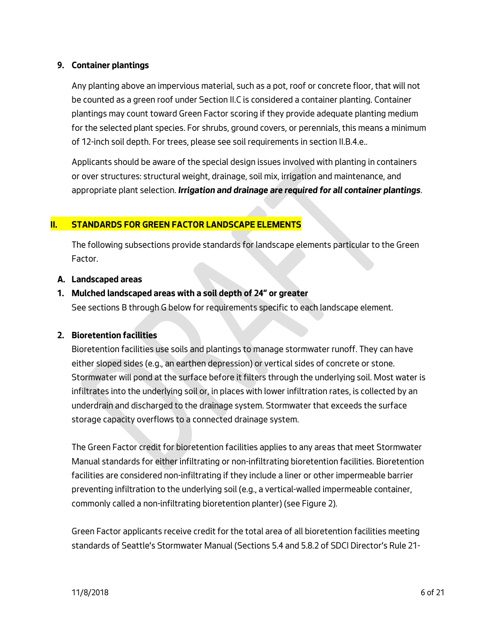## **9. Container plantings**

Any planting above an impervious material, such as a pot, roof or concrete floor, that will not be counted as a green roof under Section II.C is considered a container planting. Container plantings may count toward Green Factor scoring if they provide adequate planting medium for the selected plant species. For shrubs, ground covers, or perennials, this means a minimum of 12-inch soil depth. For trees, please see soil requirements in section II.B.4.e..

Applicants should be aware of the special design issues involved with planting in containers or over structures: structural weight, drainage, soil mix, irrigation and maintenance, and appropriate plant selection. *Irrigation and drainage are required for all container plantings*.

### **II. STANDARDS FOR GREEN FACTOR LANDSCAPE ELEMENTS**

The following subsections provide standards for landscape elements particular to the Green Factor.

#### **A. Landscaped areas**

### **1. Mulched landscaped areas with a soil depth of 24" or greater**

See sections B through G below for requirements specific to each landscape element.

#### **2. Bioretention facilities**

Bioretention facilities use soils and plantings to manage stormwater runoff. They can have either sloped sides (e.g., an earthen depression) or vertical sides of concrete or stone. Stormwater will pond at the surface before it filters through the underlying soil. Most water is infiltrates into the underlying soil or, in places with lower infiltration rates, is collected by an underdrain and discharged to the drainage system. Stormwater that exceeds the surface storage capacity overflows to a connected drainage system.

The Green Factor credit for bioretention facilities applies to any areas that meet Stormwater Manual standards for either infiltrating or non-infiltrating bioretention facilities. Bioretention facilities are considered non-infiltrating if they include a liner or other impermeable barrier preventing infiltration to the underlying soil (e.g., a vertical-walled impermeable container, commonly called a non-infiltrating bioretention planter) (see Figure 2).

Green Factor applicants receive credit for the total area of all bioretention facilities meeting standards of Seattle's Stormwater Manual (Sections 5.4 and 5.8.2 of SDCI Director's Rule 21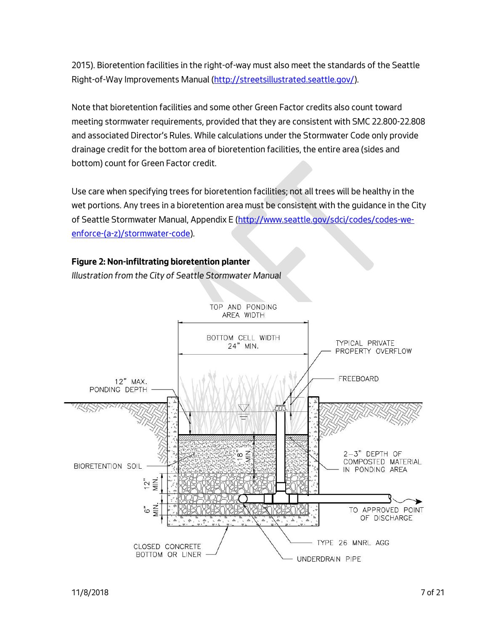2015). Bioretention facilities in the right-of-way must also meet the standards of the Seattle Right-of-Way Improvements Manual (http://streetsillustrated.seattle.gov/).

Note that bioretention facilities and some other Green Factor credits also count toward meeting stormwater requirements, provided that they are consistent with SMC 22.800-22.808 and associated Director's Rules. While calculations under the Stormwater Code only provide drainage credit for the bottom area of bioretention facilities, the entire area (sides and bottom) count for Green Factor credit.

Use care when specifying trees for bioretention facilities; not all trees will be healthy in the wet portions. Any trees in a bioretention area must be consistent with the guidance in the City of Seattle Stormwater Manual, Appendix E (http://www.seattle.gov/sdci/codes/codes-weenforce-(a-z)/stormwater-code).

#### **Figure 2: Non-infiltrating bioretention planter**

*Illustration from the City of Seattle Stormwater Manual*

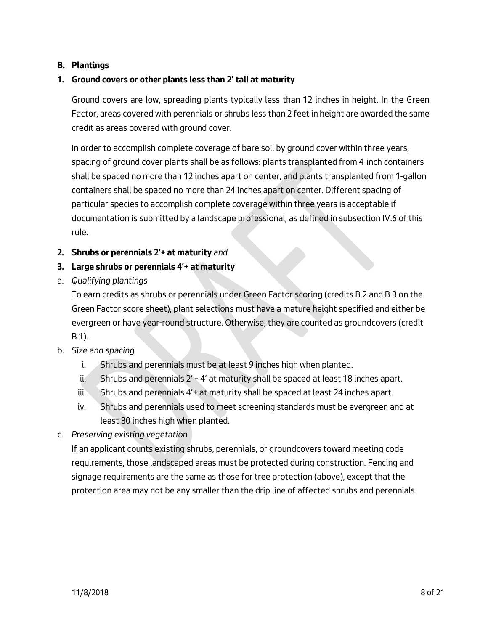## **B. Plantings**

## **1. Ground covers or other plants less than 2' tall at maturity**

Ground covers are low, spreading plants typically less than 12 inches in height. In the Green Factor, areas covered with perennials or shrubs less than 2 feet in height are awarded the same credit as areas covered with ground cover.

In order to accomplish complete coverage of bare soil by ground cover within three years, spacing of ground cover plants shall be as follows: plants transplanted from 4-inch containers shall be spaced no more than 12 inches apart on center, and plants transplanted from 1-gallon containers shall be spaced no more than 24 inches apart on center. Different spacing of particular species to accomplish complete coverage within three years is acceptable if documentation is submitted by a landscape professional, as defined in subsection IV.6 of this rule.

### **2. Shrubs or perennials 2'+ at maturity** *and*

## **3. Large shrubs or perennials 4'+ at maturity**

a. *Qualifying plantings*

To earn credits as shrubs or perennials under Green Factor scoring (credits B.2 and B.3 on the Green Factor score sheet), plant selections must have a mature height specified and either be evergreen or have year-round structure. Otherwise, they are counted as groundcovers (credit B.1).

- b. *Size and spacing*
	- i. Shrubs and perennials must be at least 9 inches high when planted.
	- ii. Shrubs and perennials 2' 4' at maturity shall be spaced at least 18 inches apart.
	- iii. Shrubs and perennials 4'+ at maturity shall be spaced at least 24 inches apart.
	- iv. Shrubs and perennials used to meet screening standards must be evergreen and at least 30 inches high when planted.
- c. *Preserving existing vegetation*

If an applicant counts existing shrubs, perennials, or groundcovers toward meeting code requirements, those landscaped areas must be protected during construction. Fencing and signage requirements are the same as those for tree protection (above), except that the protection area may not be any smaller than the drip line of affected shrubs and perennials.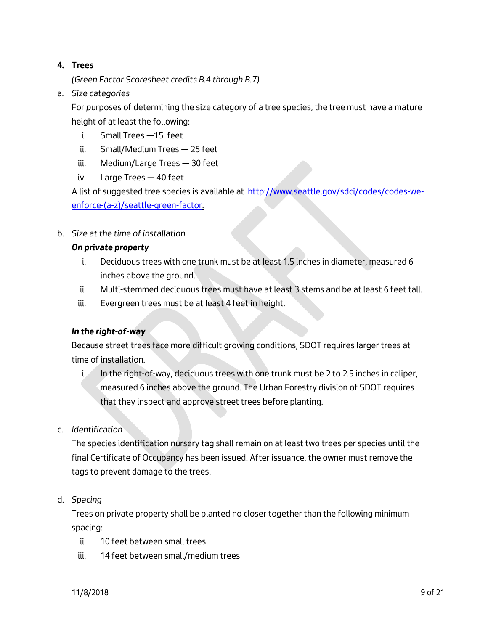# **4. Trees**

*(Green Factor Scoresheet credits B.4 through B.7)*

a. *Size categories*

For *p*urposes of determining the size category of a tree species, the tree must have a mature height of at least the following:

- i. Small Trees —15 feet
- ii. Small/Medium Trees 25 feet
- iii. Medium/Large Trees 30 feet
- iv. Large Trees 40 feet

A list of suggested tree species is available at [http://www.seattle.gov/sdci/codes/codes-we](http://www.seattle.gov/dpd/greenfactor)[enforce-\(a-z\)/seattle-green-factor.](http://www.seattle.gov/dpd/greenfactor)

b. *Size at the time of installation*

# *On private property*

- i. Deciduous trees with one trunk must be at least 1.5 inches in diameter, measured 6 inches above the ground.
- ii. Multi-stemmed deciduous trees must have at least 3 stems and be at least 6 feet tall.
- iii. Evergreen trees must be at least 4 feet in height.

# *In the right-of-way*

Because street trees face more difficult growing conditions, SDOT requires larger trees at time of installation.

- i. In the right-of-way, deciduous trees with one trunk must be 2 to 2.5 inches in caliper, measured 6 inches above the ground. The Urban Forestry division of SDOT requires that they inspect and approve street trees before planting.
- c. *Identification*

The species identification nursery tag shall remain on at least two trees per species until the final Certificate of Occupancy has been issued. After issuance, the owner must remove the tags to prevent damage to the trees.

d. *Spacing*

Trees on private property shall be planted no closer together than the following minimum spacing:

- ii. 10 feet between small trees
- iii. 14 feet between small/medium trees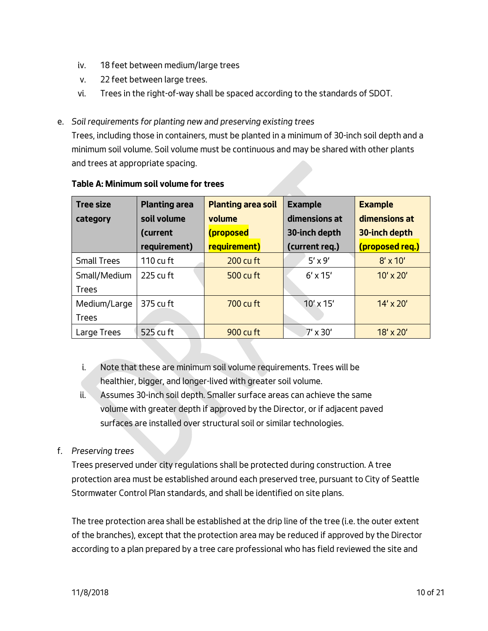- iv. 18 feet between medium/large trees
- v. 22 feet between large trees.
- vi. Trees in the right-of-way shall be spaced according to the standards of SDOT.
- e. *Soil requirements for planting new and preserving existing trees*

Trees, including those in containers, must be planted in a minimum of 30-inch soil depth and a minimum soil volume. Soil volume must be continuous and may be shared with other plants and trees at appropriate spacing.

| <b>Tree size</b>   | <b>Planting area</b> | <b>Planting area soil</b> | <b>Example</b>   | <b>Example</b>   |
|--------------------|----------------------|---------------------------|------------------|------------------|
| category           | soil volume          | volume                    | dimensions at    | dimensions at    |
|                    | (current             | (proposed                 | 30-inch depth    | 30-inch depth    |
|                    | requirement)         | requirement)              | (current req.)   | (proposed req.)  |
| <b>Small Trees</b> | 110 cu ft            | $200$ cu ft               | $5' \times 9'$   | $8' \times 10'$  |
| Small/Medium       | 225 cu ft            | 500 cu ft                 | $6' \times 15'$  | $10' \times 20'$ |
| <b>Trees</b>       |                      |                           |                  |                  |
| Medium/Large       | 375 cu ft            | 700 cu ft                 | $10' \times 15'$ | $14' \times 20'$ |
| Trees              |                      |                           |                  |                  |
| Large Trees        | 525 cu ft            | 900 cu ft                 | $7'$ x 30'       | $18' \times 20'$ |

### **Table A: Minimum soil volume for trees**

- i. Note that these are minimum soil volume requirements. Trees will be healthier, bigger, and longer-lived with greater soil volume.
- ii. Assumes 30-inch soil depth. Smaller surface areas can achieve the same volume with greater depth if approved by the Director, or if adjacent paved surfaces are installed over structural soil or similar technologies.
- f. *Preserving trees*

Trees preserved under city regulations shall be protected during construction. A tree protection area must be established around each preserved tree, pursuant to City of Seattle Stormwater Control Plan standards, and shall be identified on site plans.

The tree protection area shall be established at the drip line of the tree (i.e. the outer extent of the branches), except that the protection area may be reduced if approved by the Director according to a plan prepared by a tree care professional who has field reviewed the site and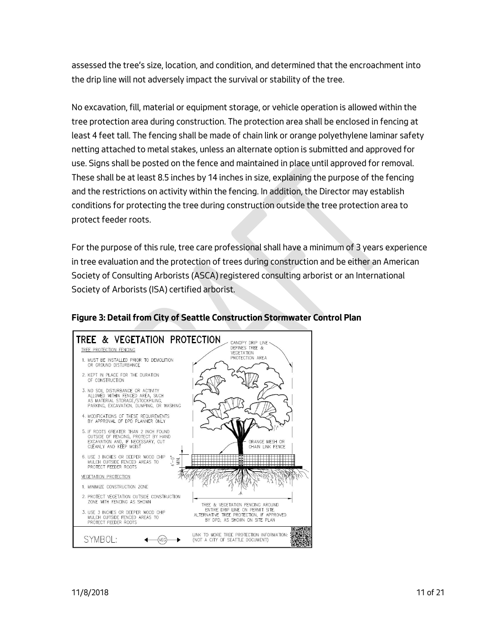assessed the tree's size, location, and condition, and determined that the encroachment into the drip line will not adversely impact the survival or stability of the tree.

No excavation, fill, material or equipment storage, or vehicle operation is allowed within the tree protection area during construction. The protection area shall be enclosed in fencing at least 4 feet tall. The fencing shall be made of chain link or orange polyethylene laminar safety netting attached to metal stakes, unless an alternate option is submitted and approved for use. Signs shall be posted on the fence and maintained in place until approved for removal. These shall be at least 8.5 inches by 14 inches in size, explaining the purpose of the fencing and the restrictions on activity within the fencing. In addition, the Director may establish conditions for protecting the tree during construction outside the tree protection area to protect feeder roots.

For the purpose of this rule, tree care professional shall have a minimum of 3 years experience in tree evaluation and the protection of trees during construction and be either an American Society of Consulting Arborists (ASCA) registered consulting arborist or an International Society of Arborists (ISA) certified arborist.



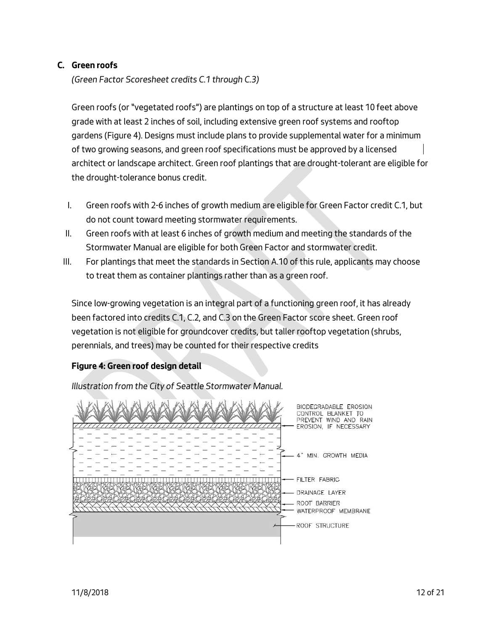## **C. Green roofs**

*(Green Factor Scoresheet credits C.1 through C.3)*

Green roofs (or "vegetated roofs") are plantings on top of a structure at least 10 feet above grade with at least 2 inches of soil, including extensive green roof systems and rooftop gardens (Figure 4). Designs must include plans to provide supplemental water for a minimum of two growing seasons, and green roof specifications must be approved by a licensed architect or landscape architect. Green roof plantings that are drought-tolerant are eligible for the drought-tolerance bonus credit.

- I. Green roofs with 2-6 inches of growth medium are eligible for Green Factor credit C.1, but do not count toward meeting stormwater requirements.
- II. Green roofs with at least 6 inches of growth medium and meeting the standards of the Stormwater Manual are eligible for both Green Factor and stormwater credit.
- III. For plantings that meet the standards in Section A.10 of this rule, applicants may choose to treat them as container plantings rather than as a green roof.

Since low-growing vegetation is an integral part of a functioning green roof, it has already been factored into credits C.1, C.2, and C.3 on the Green Factor score sheet. Green roof vegetation is not eligible for groundcover credits, but taller rooftop vegetation (shrubs, perennials, and trees) may be counted for their respective credits

# **Figure 4: Green roof design detail**

*Illustration from the City of Seattle Stormwater Manual.*

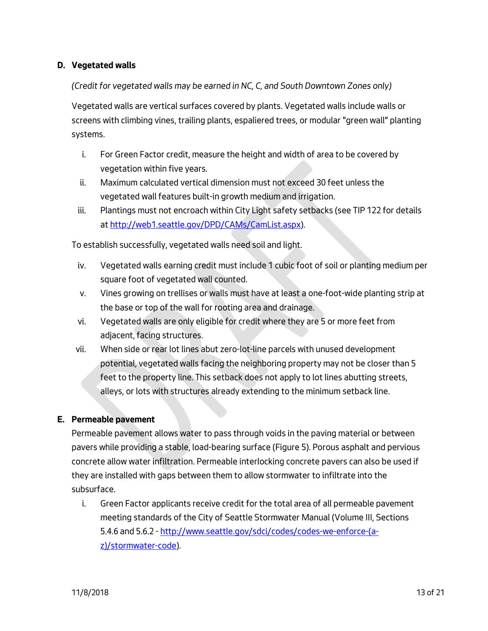## **D. Vegetated walls**

*(Credit for vegetated walls may be earned in NC, C, and South Downtown Zones only)*

Vegetated walls are vertical surfaces covered by plants. Vegetated walls include walls or screens with climbing vines, trailing plants, espaliered trees, or modular "green wall" planting systems.

- i. For Green Factor credit, measure the height and width of area to be covered by vegetation within five years.
- ii. Maximum calculated vertical dimension must not exceed 30 feet unless the vegetated wall features built-in growth medium and irrigation.
- iii. Plantings must not encroach within City Light safety setbacks (see TIP 122 for details at [http://web1.seattle.gov/DPD/CAMs/CamList.aspx\)](http://web1.seattle.gov/DPD/CAMs/CamList.aspx).

To establish successfully, vegetated walls need soil and light.

- iv. Vegetated walls earning credit must include 1 cubic foot of soil or planting medium per square foot of vegetated wall counted.
- v. Vines growing on trellises or walls must have at least a one-foot-wide planting strip at the base or top of the wall for rooting area and drainage.
- vi. Vegetated walls are only eligible for credit where they are 5 or more feet from adjacent, facing structures.
- vii. When side or rear lot lines abut zero-lot-line parcels with unused development potential, vegetated walls facing the neighboring property may not be closer than 5 feet to the property line. This setback does not apply to lot lines abutting streets, alleys, or lots with structures already extending to the minimum setback line.

#### **E. Permeable pavement**

Permeable pavement allows water to pass through voids in the paving material or between pavers while providing a stable, load-bearing surface (Figure 5). Porous asphalt and pervious concrete allow water infiltration. Permeable interlocking concrete pavers can also be used if they are installed with gaps between them to allow stormwater to infiltrate into the subsurface.

i. Green Factor applicants receive credit for the total area of all permeable pavement meeting standards of the City of Seattle Stormwater Manual (Volume III, Sections 5.4.6 and 5.6.2 - http://www.seattle.gov/sdci/codes/codes-we-enforce-(az)/stormwater-code).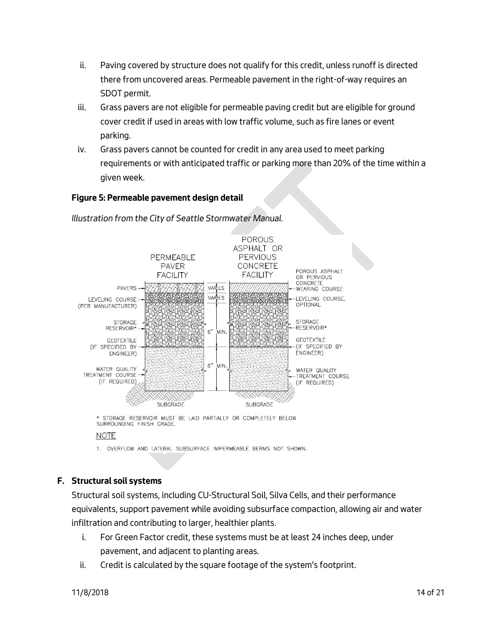- ii. Paving covered by structure does not qualify for this credit, unless runoff is directed there from uncovered areas. Permeable pavement in the right-of-way requires an SDOT permit.
- iii. Grass pavers are not eligible for permeable paving credit but are eligible for ground cover credit if used in areas with low traffic volume, such as fire lanes or event parking.
- iv. Grass pavers cannot be counted for credit in any area used to meet parking requirements or with anticipated traffic or parking more than 20% of the time within a given week.

### **Figure 5: Permeable pavement design detail**



*Illustration from the City of Seattle Stormwater Manual.*

\* STORAGE RESERVOIR MUST BE LAID PARTIALLY OR COMPLETELY BELOW SURROUNDING FINISH GRADE.

#### **NOTE**

1. OVERFLOW AND LATERAL SUBSURFACE IMPERMEABLE BERMS NOT SHOWN.

## **F. Structural soil systems**

Structural soil systems, including CU-Structural Soil, Silva Cells, and their performance equivalents, support pavement while avoiding subsurface compaction, allowing air and water infiltration and contributing to larger, healthier plants.

- i. For Green Factor credit, these systems must be at least 24 inches deep, under pavement, and adjacent to planting areas.
- ii. Credit is calculated by the square footage of the system's footprint.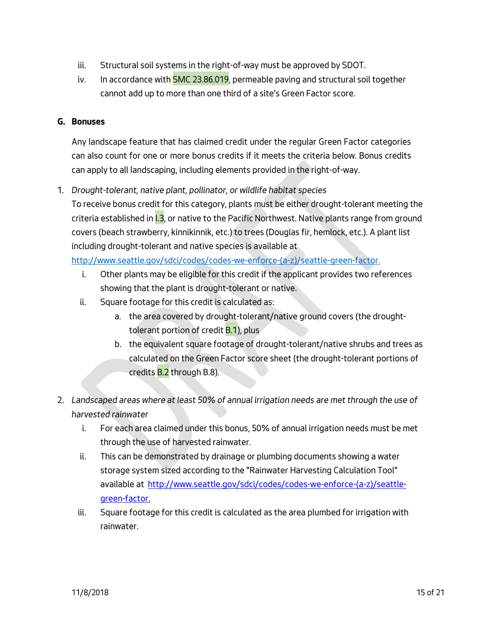- iii. Structural soil systems in the right-of-way must be approved by SDOT.
- iv. In accordance with SMC 23.86.019, permeable paving and structural soil together cannot add up to more than one third of a site's Green Factor score.

### **G. Bonuses**

Any landscape feature that has claimed credit under the regular Green Factor categories can also count for one or more bonus credits if it meets the criteria below. Bonus credits can apply to all landscaping, including elements provided in the right-of-way.

1. *Drought-tolerant, native plant, pollinator, or wildlife habitat species*

To receive bonus credit for this category, plants must be either drought-tolerant meeting the criteria established in I.3, or native to the Pacific Northwest. Native plants range from ground covers (beach strawberry, kinnikinnik, etc.) to trees (Douglas fir, hemlock, etc.). A plant list including drought-tolerant and native species is available a[t](http://www.seattle.gov/dpd/greenfactor.) 

[http://www.seattle.gov/sdci/codes/codes-we-enforce-\(a-z\)/seattle-green-factor.](http://www.seattle.gov/dpd/greenfactor.) 

- i. Other plants may be eligible for this credit if the applicant provides two references showing that the plant is drought-tolerant or native.
- ii. Square footage for this credit is calculated as:
	- a. the area covered by drought-tolerant/native ground covers (the droughttolerant portion of credit  $B(1)$ , plus
	- b. the equivalent square footage of drought-tolerant/native shrubs and trees as calculated on the Green Factor score sheet (the drought-tolerant portions of credits B.2 through B.8).
- 2. *Landscaped areas where at least 50% of annual irrigation needs are met through the use of harvested rainwater*
	- i. For each area claimed under this bonus, 50% of annual irrigation needs must be met through the use of harvested rainwater.
	- ii. This can be demonstrated by drainage or plumbing documents showing a water storage system sized according to the "Rainwater Harvesting Calculation Tool" available at [http://www.seattle.gov/sdci/codes/codes-we-enforce-\(a-z\)/seattle](http://www.seattle.gov/dpd/greenfactor)[green-factor.](http://www.seattle.gov/dpd/greenfactor)
	- iii. Square footage for this credit is calculated as the area plumbed for irrigation with rainwater.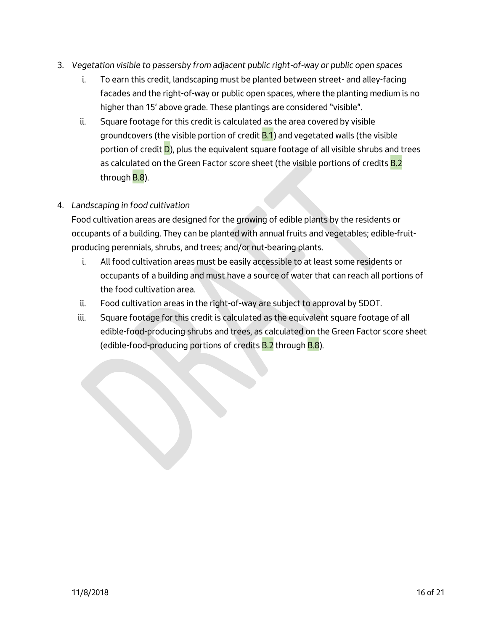- 3. *Vegetation visible to passersby from adjacent public right-of-way or public open spaces*
	- i. To earn this credit, landscaping must be planted between street- and alley-facing facades and the right-of-way or public open spaces, where the planting medium is no higher than 15' above grade. These plantings are considered "visible".
	- ii. Square footage for this credit is calculated as the area covered by visible groundcovers (the visible portion of credit **B.1**) and vegetated walls (the visible portion of credit **D**), plus the equivalent square footage of all visible shrubs and trees as calculated on the Green Factor score sheet (the visible portions of credits **B.2** through **B.8**).

# 4. *Landscaping in food cultivation*

Food cultivation areas are designed for the growing of edible plants by the residents or occupants of a building. They can be planted with annual fruits and vegetables; edible-fruitproducing perennials, shrubs, and trees; and/or nut-bearing plants.

- i. All food cultivation areas must be easily accessible to at least some residents or occupants of a building and must have a source of water that can reach all portions of the food cultivation area.
- ii. Food cultivation areas in the right-of-way are subject to approval by SDOT.
- iii. Square footage for this credit is calculated as the equivalent square footage of all edible-food-producing shrubs and trees, as calculated on the Green Factor score sheet (edible-food-producing portions of credits **B.2** through **B.8**).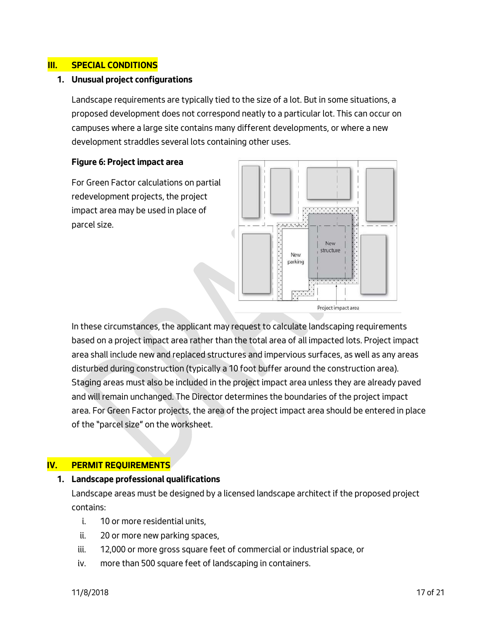#### **III. SPECIAL CONDITIONS**

#### **1. Unusual project configurations**

Landscape requirements are typically tied to the size of a lot. But in some situations, a proposed development does not correspond neatly to a particular lot. This can occur on campuses where a large site contains many different developments, or where a new development straddles several lots containing other uses.

#### **Figure 6: Project impact area**

For Green Factor calculations on partial redevelopment projects, the project impact area may be used in place of parcel size.



In these circumstances, the applicant may request to calculate landscaping requirements based on a project impact area rather than the total area of all impacted lots. Project impact area shall include new and replaced structures and impervious surfaces, as well as any areas disturbed during construction (typically a 10 foot buffer around the construction area). Staging areas must also be included in the project impact area unless they are already paved and will remain unchanged. The Director determines the boundaries of the project impact area. For Green Factor projects, the area of the project impact area should be entered in place of the "parcel size" on the worksheet.

#### **IV. PERMIT REQUIREMENTS**

#### **1. Landscape professional qualifications**

Landscape areas must be designed by a licensed landscape architect if the proposed project contains:

- i. 10 or more residential units,
- ii. 20 or more new parking spaces,
- iii. 12,000 or more gross square feet of commercial or industrial space, or
- iv. more than 500 square feet of landscaping in containers.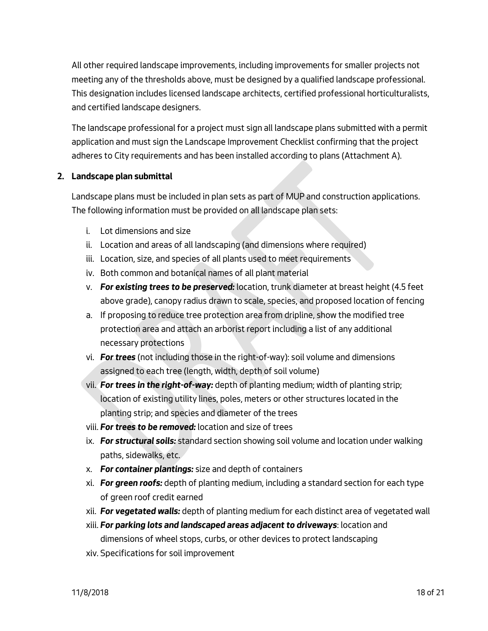All other required landscape improvements, including improvements for smaller projects not meeting any of the thresholds above, must be designed by a qualified landscape professional. This designation includes licensed landscape architects, certified professional horticulturalists, and certified landscape designers.

The landscape professional for a project must sign all landscape plans submitted with a permit application and must sign the Landscape Improvement Checklist confirming that the project adheres to City requirements and has been installed according to plans (Attachment A).

### **2. Landscape plan submittal**

Landscape plans must be included in plan sets as part of MUP and construction applications. The following information must be provided on all landscape plan sets:

- i. Lot dimensions and size
- ii. Location and areas of all landscaping (and dimensions where required)
- iii. Location, size, and species of all plants used to meet requirements
- iv. Both common and botanical names of all plant material
- v. *For existing trees to be preserved:* location, trunk diameter at breast height (4.5 feet above grade), canopy radius drawn to scale, species, and proposed location of fencing
- a. If proposing to reduce tree protection area from dripline, show the modified tree protection area and attach an arborist report including a list of any additional necessary protections
- vi. *For trees* (not including those in the right-of-way): soil volume and dimensions assigned to each tree (length, width, depth of soil volume)
- vii. *For trees in the right-of-way:* depth of planting medium; width of planting strip; location of existing utility lines, poles, meters or other structures located in the planting strip; and species and diameter of the trees
- viii. *For trees to be removed:* location and size of trees
- ix. *For structural soils:* standard section showing soil volume and location under walking paths, sidewalks, etc.
- x. *For container plantings:* size and depth of containers
- xi. *For green roofs:* depth of planting medium, including a standard section for each type of green roof credit earned
- xii. *For vegetated walls:* depth of planting medium for each distinct area of vegetated wall
- xiii. *For parking lots and landscaped areas adjacent to driveways*: location and dimensions of wheel stops, curbs, or other devices to protect landscaping
- xiv. Specifications for soil improvement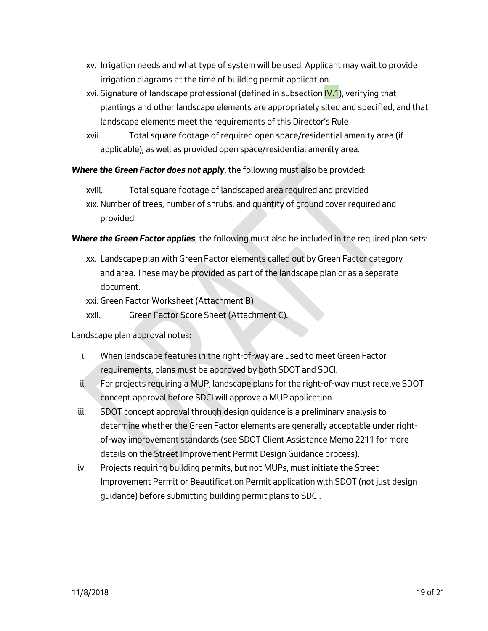- xv. Irrigation needs and what type of system will be used. Applicant may wait to provide irrigation diagrams at the time of building permit application.
- xvi. Signature of landscape professional (defined in subsection IV.1), verifying that plantings and other landscape elements are appropriately sited and specified, and that landscape elements meet the requirements of this Director's Rule
- xvii. Total square footage of required open space/residential amenity area (if applicable), as well as provided open space/residential amenity area.

*Where the Green Factor does not apply*, the following must also be provided:

- xviii. Total square footage of landscaped area required and provided
- xix. Number of trees, number of shrubs, and quantity of ground cover required and provided.

### *Where the Green Factor applies*, the following must also be included in the required plan sets:

xx. Landscape plan with Green Factor elements called out by Green Factor category and area. These may be provided as part of the landscape plan or as a separate document.

xxi. Green Factor Worksheet (Attachment B)

xxii. Green Factor Score Sheet (Attachment C).

Landscape plan approval notes:

- i. When landscape features in the right-of-way are used to meet Green Factor requirements, plans must be approved by both SDOT and SDCI.
- ii. For projects requiring a MUP, landscape plans for the right-of-way must receive SDOT concept approval before SDCI will approve a MUP application.
- iii. SDOT concept approval through design guidance is a preliminary analysis to determine whether the Green Factor elements are generally acceptable under rightof-way improvement standards (see SDOT Client Assistance Memo 2211 for more details on the Street Improvement Permit Design Guidance process).
- iv. Projects requiring building permits, but not MUPs, must initiate the Street Improvement Permit or Beautification Permit application with SDOT (not just design guidance) before submitting building permit plans to SDCI.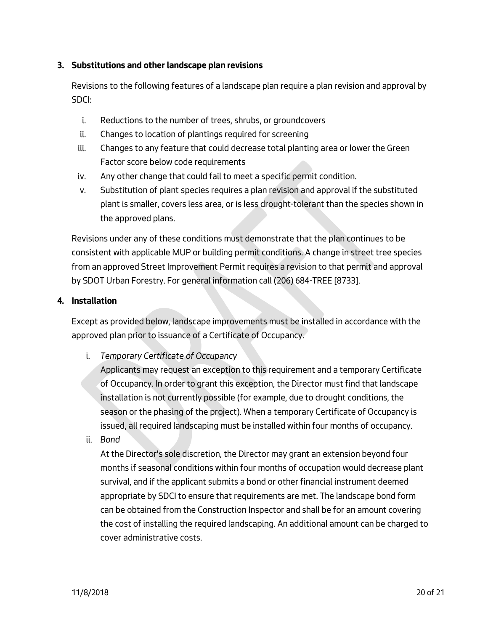## **3. Substitutions and other landscape plan revisions**

Revisions to the following features of a landscape plan require a plan revision and approval by SDCI:

- i. Reductions to the number of trees, shrubs, or groundcovers
- ii. Changes to location of plantings required for screening
- iii. Changes to any feature that could decrease total planting area or lower the Green Factor score below code requirements
- iv. Any other change that could fail to meet a specific permit condition.
- v. Substitution of plant species requires a plan revision and approval if the substituted plant is smaller, covers less area, or is less drought-tolerant than the species shown in the approved plans.

Revisions under any of these conditions must demonstrate that the plan continues to be consistent with applicable MUP or building permit conditions. A change in street tree species from an approved Street Improvement Permit requires a revision to that permit and approval by SDOT Urban Forestry. For general information call (206) 684-TREE [8733].

### **4. Installation**

Except as provided below, landscape improvements must be installed in accordance with the approved plan prior to issuance of a Certificate of Occupancy.

i. *Temporary Certificate of Occupancy*

Applicants may request an exception to this requirement and a temporary Certificate of Occupancy. In order to grant this exception, the Director must find that landscape installation is not currently possible (for example, due to drought conditions, the season or the phasing of the project). When a temporary Certificate of Occupancy is issued, all required landscaping must be installed within four months of occupancy.

ii. *Bond*

At the Director's sole discretion, the Director may grant an extension beyond four months if seasonal conditions within four months of occupation would decrease plant survival, and if the applicant submits a bond or other financial instrument deemed appropriate by SDCI to ensure that requirements are met. The landscape bond form can be obtained from the Construction Inspector and shall be for an amount covering the cost of installing the required landscaping. An additional amount can be charged to cover administrative costs.